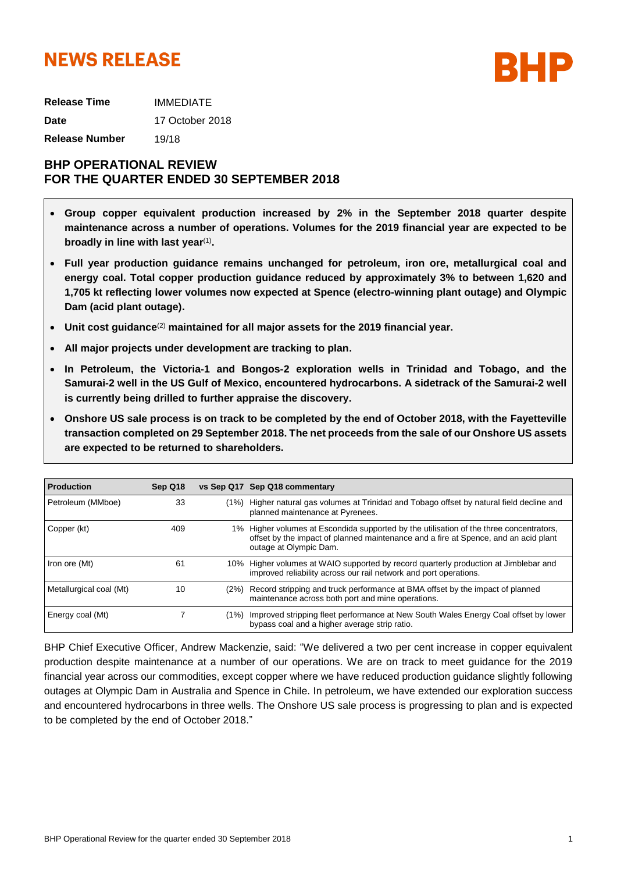# **NEWS RELEASE**



**Release Time** IMMEDIATE **Date** 17 October 2018 **Release Number** 19/18

# **BHP OPERATIONAL REVIEW FOR THE QUARTER ENDED 30 SEPTEMBER 2018**

- **Group copper equivalent production increased by 2% in the September 2018 quarter despite maintenance across a number of operations. Volumes for the 2019 financial year are expected to be** broadly in line with last year<sup>(1)</sup>.
- **Full year production guidance remains unchanged for petroleum, iron ore, metallurgical coal and energy coal. Total copper production guidance reduced by approximately 3% to between 1,620 and 1,705 kt reflecting lower volumes now expected at Spence (electro-winning plant outage) and Olympic Dam (acid plant outage).**
- **Unit cost guidance**(2) **maintained for all major assets for the 2019 financial year.**
- **All major projects under development are tracking to plan.**
- **In Petroleum, the Victoria-1 and Bongos-2 exploration wells in Trinidad and Tobago, and the Samurai-2 well in the US Gulf of Mexico, encountered hydrocarbons. A sidetrack of the Samurai-2 well is currently being drilled to further appraise the discovery.**
- **Onshore US sale process is on track to be completed by the end of October 2018, with the Fayetteville transaction completed on 29 September 2018. The net proceeds from the sale of our Onshore US assets are expected to be returned to shareholders.**

| <b>Production</b>       | Sep Q18 |      | vs Sep Q17 Sep Q18 commentary                                                                                                                                                                            |
|-------------------------|---------|------|----------------------------------------------------------------------------------------------------------------------------------------------------------------------------------------------------------|
| Petroleum (MMboe)       | 33      | (1%) | Higher natural gas volumes at Trinidad and Tobago offset by natural field decline and<br>planned maintenance at Pyrenees.                                                                                |
| Copper (kt)             | 409     |      | 1% Higher volumes at Escondida supported by the utilisation of the three concentrators,<br>offset by the impact of planned maintenance and a fire at Spence, and an acid plant<br>outage at Olympic Dam. |
| Iron ore (Mt)           | 61      |      | 10% Higher volumes at WAIO supported by record quarterly production at Jimblebar and<br>improved reliability across our rail network and port operations.                                                |
| Metallurgical coal (Mt) | 10      |      | (2%) Record stripping and truck performance at BMA offset by the impact of planned<br>maintenance across both port and mine operations.                                                                  |
| Energy coal (Mt)        |         | (1%) | Improved stripping fleet performance at New South Wales Energy Coal offset by lower<br>bypass coal and a higher average strip ratio.                                                                     |

BHP Chief Executive Officer, Andrew Mackenzie, said: "We delivered a two per cent increase in copper equivalent production despite maintenance at a number of our operations. We are on track to meet guidance for the 2019 financial year across our commodities, except copper where we have reduced production guidance slightly following outages at Olympic Dam in Australia and Spence in Chile. In petroleum, we have extended our exploration success and encountered hydrocarbons in three wells. The Onshore US sale process is progressing to plan and is expected to be completed by the end of October 2018."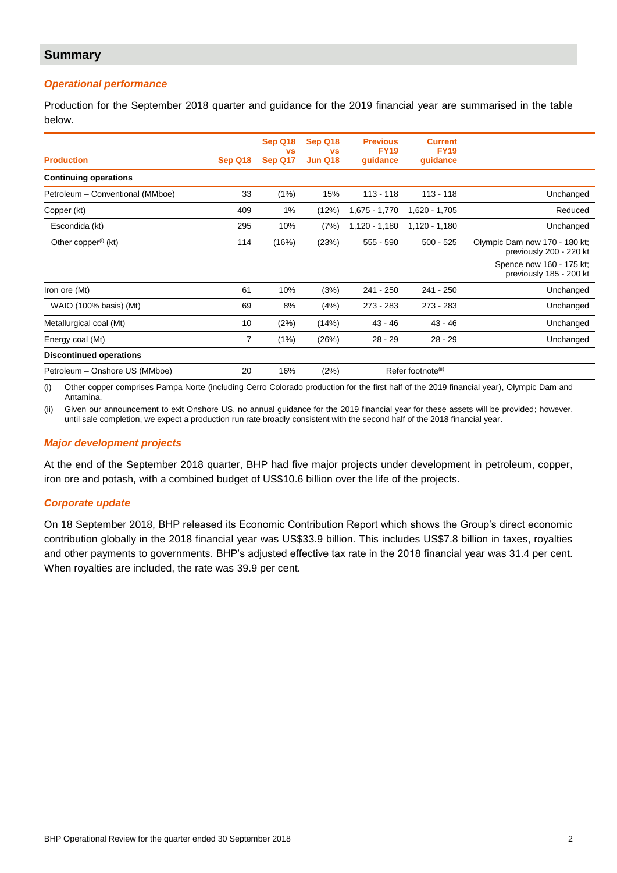# **Summary**

# *Operational performance*

Production for the September 2018 quarter and guidance for the 2019 financial year are summarised in the table below.

| <b>Production</b>                | Sep Q18        | Sep Q18<br><b>VS</b><br>Sep Q17 | Sep Q18<br><b>VS</b><br>Jun Q18 | <b>Previous</b><br><b>FY19</b><br>quidance | <b>Current</b><br><b>FY19</b><br>guidance |                                                                                                                 |
|----------------------------------|----------------|---------------------------------|---------------------------------|--------------------------------------------|-------------------------------------------|-----------------------------------------------------------------------------------------------------------------|
| <b>Continuing operations</b>     |                |                                 |                                 |                                            |                                           |                                                                                                                 |
| Petroleum - Conventional (MMboe) | 33             | (1%)                            | 15%                             | $113 - 118$                                | $113 - 118$                               | Unchanged                                                                                                       |
| Copper (kt)                      | 409            | 1%                              | (12%)                           | 1,675 - 1,770                              | 1,620 - 1,705                             | Reduced                                                                                                         |
| Escondida (kt)                   | 295            | 10%                             | (7%)                            | $1,120 - 1,180$                            | $1,120 - 1,180$                           | Unchanged                                                                                                       |
| Other copper <sup>(i)</sup> (kt) | 114            | (16%)                           | (23%)                           | $555 - 590$                                | $500 - 525$                               | Olympic Dam now 170 - 180 kt;<br>previously 200 - 220 kt<br>Spence now 160 - 175 kt;<br>previously 185 - 200 kt |
| Iron ore (Mt)                    | 61             | 10%                             | (3%)                            | $241 - 250$                                | $241 - 250$                               | Unchanged                                                                                                       |
| WAIO (100% basis) (Mt)           | 69             | 8%                              | (4%)                            | $273 - 283$                                | $273 - 283$                               | Unchanged                                                                                                       |
| Metallurgical coal (Mt)          | 10             | (2%)                            | (14%)                           | 43 - 46                                    | $43 - 46$                                 | Unchanged                                                                                                       |
| Energy coal (Mt)                 | $\overline{7}$ | (1%)                            | (26%)                           | $28 - 29$                                  | $28 - 29$                                 | Unchanged                                                                                                       |
| <b>Discontinued operations</b>   |                |                                 |                                 |                                            |                                           |                                                                                                                 |
| Petroleum - Onshore US (MMboe)   | 20             | 16%                             | (2%)                            |                                            | Refer footnote <sup>(ii)</sup>            |                                                                                                                 |

(i) Other copper comprises Pampa Norte (including Cerro Colorado production for the first half of the 2019 financial year), Olympic Dam and Antamina.

(ii) Given our announcement to exit Onshore US, no annual guidance for the 2019 financial year for these assets will be provided; however, until sale completion, we expect a production run rate broadly consistent with the second half of the 2018 financial year.

### *Major development projects*

At the end of the September 2018 quarter, BHP had five major projects under development in petroleum, copper, iron ore and potash, with a combined budget of US\$10.6 billion over the life of the projects.

### *Corporate update*

On 18 September 2018, BHP released its Economic Contribution Report which shows the Group's direct economic contribution globally in the 2018 financial year was US\$33.9 billion. This includes US\$7.8 billion in taxes, royalties and other payments to governments. BHP's adjusted effective tax rate in the 2018 financial year was 31.4 per cent. When royalties are included, the rate was 39.9 per cent.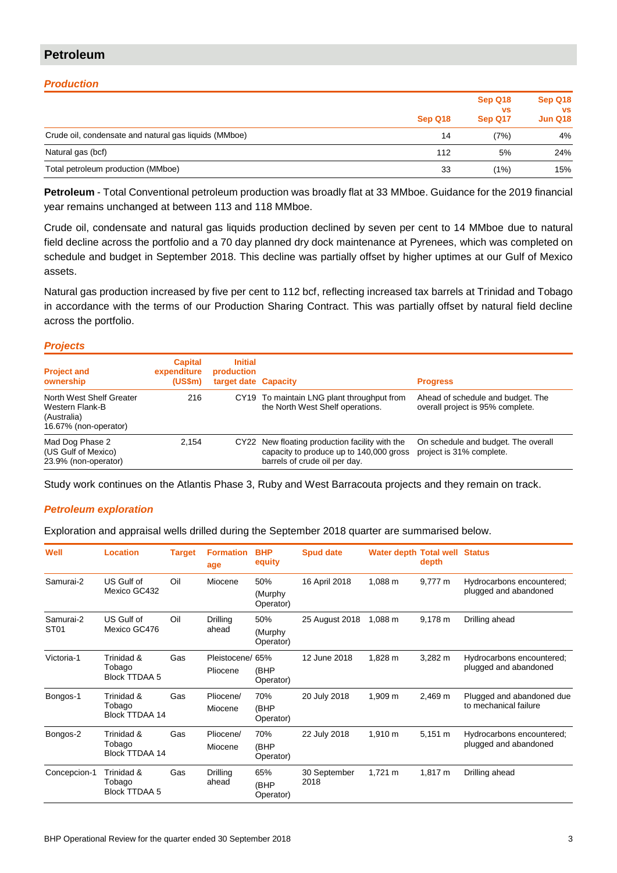# **Petroleum**

# *Production*

|                                                       | Sep Q18 | Sep Q18<br><b>VS</b><br>Sep Q17 | Sep Q18<br><b>VS</b><br><b>Jun Q18</b> |
|-------------------------------------------------------|---------|---------------------------------|----------------------------------------|
| Crude oil, condensate and natural gas liquids (MMboe) | 14      | (7%)                            | 4%                                     |
| Natural gas (bcf)                                     | 112     | 5%                              | 24%                                    |
| Total petroleum production (MMboe)                    | 33      | (1%)                            | 15%                                    |

**Petroleum** - Total Conventional petroleum production was broadly flat at 33 MMboe. Guidance for the 2019 financial year remains unchanged at between 113 and 118 MMboe.

Crude oil, condensate and natural gas liquids production declined by seven per cent to 14 MMboe due to natural field decline across the portfolio and a 70 day planned dry dock maintenance at Pyrenees, which was completed on schedule and budget in September 2018. This decline was partially offset by higher uptimes at our Gulf of Mexico assets.

Natural gas production increased by five per cent to 112 bcf, reflecting increased tax barrels at Trinidad and Tobago in accordance with the terms of our Production Sharing Contract. This was partially offset by natural field decline across the portfolio.

### *Projects*

| <b>Project and</b><br>ownership                                                     | <b>Capital</b><br>expenditure<br>$(US\$ fm $)$ | <b>Initial</b><br>production<br>target date Capacity |                                                                                                                       | <b>Progress</b>                                                       |
|-------------------------------------------------------------------------------------|------------------------------------------------|------------------------------------------------------|-----------------------------------------------------------------------------------------------------------------------|-----------------------------------------------------------------------|
| North West Shelf Greater<br>Western Flank-B<br>(Australia)<br>16.67% (non-operator) | 216                                            |                                                      | CY19 To maintain LNG plant throughput from<br>the North West Shelf operations.                                        | Ahead of schedule and budget. The<br>overall project is 95% complete. |
| Mad Dog Phase 2<br>(US Gulf of Mexico)<br>23.9% (non-operator)                      | 2.154                                          | CY22                                                 | New floating production facility with the<br>capacity to produce up to 140,000 gross<br>barrels of crude oil per day. | On schedule and budget. The overall<br>project is 31% complete.       |

Study work continues on the Atlantis Phase 3, Ruby and West Barracouta projects and they remain on track.

# *Petroleum exploration*

Exploration and appraisal wells drilled during the September 2018 quarter are summarised below.

| Well                          | <b>Location</b>                               | <b>Target</b> | <b>Formation</b><br>age      | <b>BHP</b><br>equity        | <b>Spud date</b>     | <b>Water depth Total well Status</b> | depth        |                                                    |
|-------------------------------|-----------------------------------------------|---------------|------------------------------|-----------------------------|----------------------|--------------------------------------|--------------|----------------------------------------------------|
| Samurai-2                     | US Gulf of<br>Mexico GC432                    | Oil           | Miocene                      | 50%<br>(Murphy<br>Operator) | 16 April 2018        | 1,088 m                              | 9,777 m      | Hydrocarbons encountered;<br>plugged and abandoned |
| Samurai-2<br>ST <sub>01</sub> | US Gulf of<br>Mexico GC476                    | Oil           | Drilling<br>ahead            | 50%<br>(Murphy<br>Operator) | 25 August 2018       | 1,088 m                              | 9,178 m      | Drilling ahead                                     |
| Victoria-1                    | Trinidad &<br>Tobago<br><b>Block TTDAA 5</b>  | Gas           | Pleistocene/ 65%<br>Pliocene | (BHP<br>Operator)           | 12 June 2018         | 1,828 m                              | 3,282 m      | Hydrocarbons encountered;<br>plugged and abandoned |
| Bongos-1                      | Trinidad &<br>Tobago<br><b>Block TTDAA 14</b> | Gas           | Pliocene/<br>Miocene         | 70%<br>(BHP<br>Operator)    | 20 July 2018         | 1,909 m                              | 2,469 m      | Plugged and abandoned due<br>to mechanical failure |
| Bongos-2                      | Trinidad &<br>Tobago<br>Block TTDAA 14        | Gas           | Pliocene/<br>Miocene         | 70%<br>(BHP<br>Operator)    | 22 July 2018         | 1,910 m                              | $5,151 \; m$ | Hydrocarbons encountered;<br>plugged and abandoned |
| Concepcion-1                  | Trinidad &<br>Tobago<br><b>Block TTDAA 5</b>  | Gas           | Drilling<br>ahead            | 65%<br>(BHP<br>Operator)    | 30 September<br>2018 | $1,721 \text{ m}$                    | $1,817 \; m$ | Drilling ahead                                     |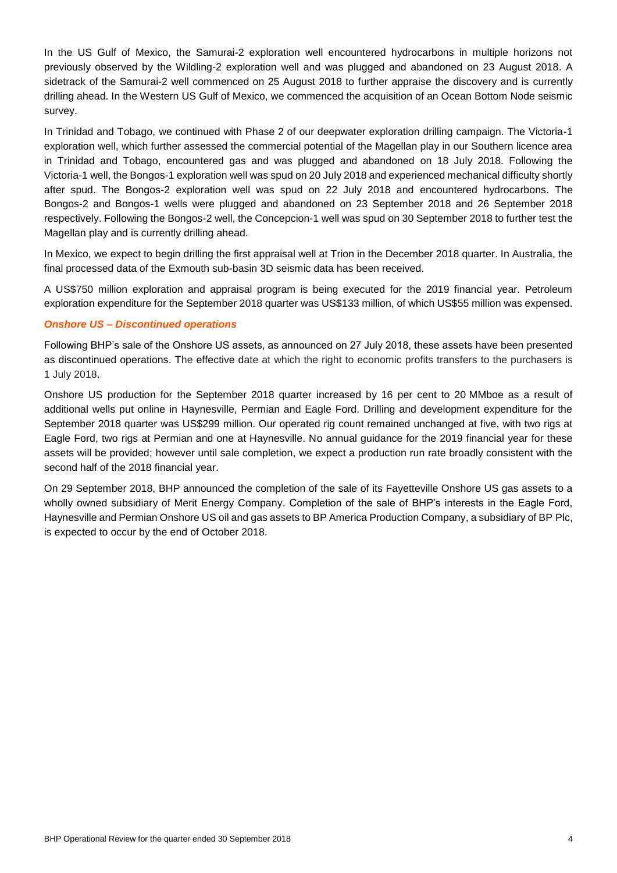In the US Gulf of Mexico, the Samurai-2 exploration well encountered hydrocarbons in multiple horizons not previously observed by the Wildling-2 exploration well and was plugged and abandoned on 23 August 2018. A sidetrack of the Samurai-2 well commenced on 25 August 2018 to further appraise the discovery and is currently drilling ahead. In the Western US Gulf of Mexico, we commenced the acquisition of an Ocean Bottom Node seismic survey.

In Trinidad and Tobago, we continued with Phase 2 of our deepwater exploration drilling campaign. The Victoria-1 exploration well, which further assessed the commercial potential of the Magellan play in our Southern licence area in Trinidad and Tobago, encountered gas and was plugged and abandoned on 18 July 2018. Following the Victoria-1 well, the Bongos-1 exploration well was spud on 20 July 2018 and experienced mechanical difficulty shortly after spud. The Bongos-2 exploration well was spud on 22 July 2018 and encountered hydrocarbons. The Bongos-2 and Bongos-1 wells were plugged and abandoned on 23 September 2018 and 26 September 2018 respectively. Following the Bongos-2 well, the Concepcion-1 well was spud on 30 September 2018 to further test the Magellan play and is currently drilling ahead.

In Mexico, we expect to begin drilling the first appraisal well at Trion in the December 2018 quarter. In Australia, the final processed data of the Exmouth sub-basin 3D seismic data has been received.

A US\$750 million exploration and appraisal program is being executed for the 2019 financial year. Petroleum exploration expenditure for the September 2018 quarter was US\$133 million, of which US\$55 million was expensed.

# *Onshore US – Discontinued operations*

Following BHP's sale of the Onshore US assets, as announced on 27 July 2018, these assets have been presented as discontinued operations. The effective date at which the right to economic profits transfers to the purchasers is 1 July 2018.

Onshore US production for the September 2018 quarter increased by 16 per cent to 20 MMboe as a result of additional wells put online in Haynesville, Permian and Eagle Ford. Drilling and development expenditure for the September 2018 quarter was US\$299 million. Our operated rig count remained unchanged at five, with two rigs at Eagle Ford, two rigs at Permian and one at Haynesville. No annual guidance for the 2019 financial year for these assets will be provided; however until sale completion, we expect a production run rate broadly consistent with the second half of the 2018 financial year.

On 29 September 2018, BHP announced the completion of the sale of its Fayetteville Onshore US gas assets to a wholly owned subsidiary of Merit Energy Company. Completion of the sale of BHP's interests in the Eagle Ford, Haynesville and Permian Onshore US oil and gas assets to BP America Production Company, a subsidiary of BP Plc, is expected to occur by the end of October 2018.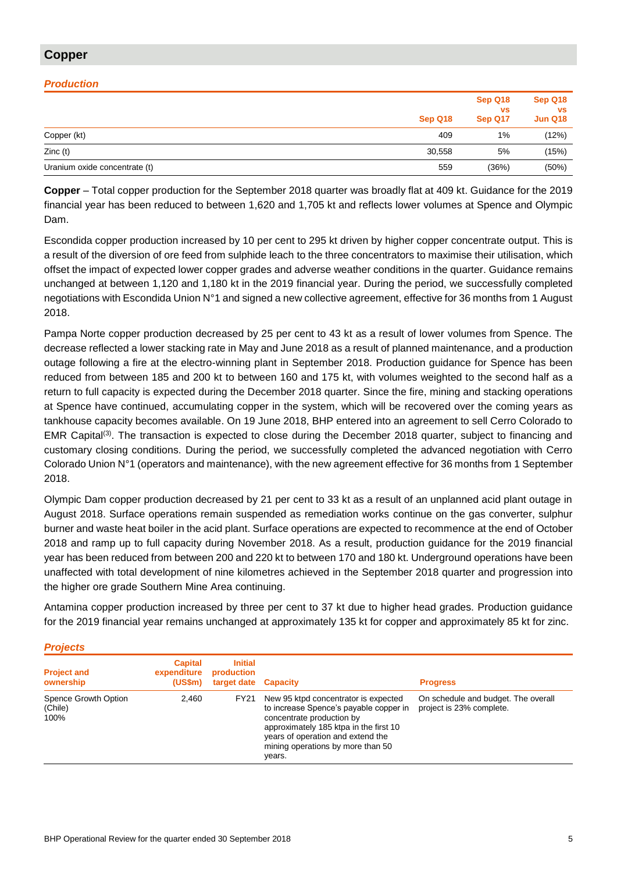# **Copper**

# *Production*

|                               | Sep Q18 | Sep Q18<br><b>VS</b><br>Sep Q17 | Sep Q18<br><b>VS</b><br>Jun Q18 |
|-------------------------------|---------|---------------------------------|---------------------------------|
| Copper (kt)                   | 409     | 1%                              | (12%)                           |
| Zinc(t)                       | 30,558  | 5%                              | (15%)                           |
| Uranium oxide concentrate (t) | 559     | (36%)                           | (50%)                           |

**Copper** – Total copper production for the September 2018 quarter was broadly flat at 409 kt. Guidance for the 2019 financial year has been reduced to between 1,620 and 1,705 kt and reflects lower volumes at Spence and Olympic Dam.

Escondida copper production increased by 10 per cent to 295 kt driven by higher copper concentrate output. This is a result of the diversion of ore feed from sulphide leach to the three concentrators to maximise their utilisation, which offset the impact of expected lower copper grades and adverse weather conditions in the quarter. Guidance remains unchanged at between 1,120 and 1,180 kt in the 2019 financial year. During the period, we successfully completed negotiations with Escondida Union N°1 and signed a new collective agreement, effective for 36 months from 1 August 2018.

Pampa Norte copper production decreased by 25 per cent to 43 kt as a result of lower volumes from Spence. The decrease reflected a lower stacking rate in May and June 2018 as a result of planned maintenance, and a production outage following a fire at the electro-winning plant in September 2018. Production guidance for Spence has been reduced from between 185 and 200 kt to between 160 and 175 kt, with volumes weighted to the second half as a return to full capacity is expected during the December 2018 quarter. Since the fire, mining and stacking operations at Spence have continued, accumulating copper in the system, which will be recovered over the coming years as tankhouse capacity becomes available. On 19 June 2018, BHP entered into an agreement to sell Cerro Colorado to EMR Capital<sup>(3)</sup>. The transaction is expected to close during the December 2018 quarter, subject to financing and customary closing conditions. During the period, we successfully completed the advanced negotiation with Cerro Colorado Union N°1 (operators and maintenance), with the new agreement effective for 36 months from 1 September 2018.

Olympic Dam copper production decreased by 21 per cent to 33 kt as a result of an unplanned acid plant outage in August 2018. Surface operations remain suspended as remediation works continue on the gas converter, sulphur burner and waste heat boiler in the acid plant. Surface operations are expected to recommence at the end of October 2018 and ramp up to full capacity during November 2018. As a result, production guidance for the 2019 financial year has been reduced from between 200 and 220 kt to between 170 and 180 kt. Underground operations have been unaffected with total development of nine kilometres achieved in the September 2018 quarter and progression into the higher ore grade Southern Mine Area continuing.

Antamina copper production increased by three per cent to 37 kt due to higher head grades. Production guidance for the 2019 financial year remains unchanged at approximately 135 kt for copper and approximately 85 kt for zinc.

| 1.00000                                 |                                                |                                                      |                                                                                                                                                                                                                                           |                                                                 |
|-----------------------------------------|------------------------------------------------|------------------------------------------------------|-------------------------------------------------------------------------------------------------------------------------------------------------------------------------------------------------------------------------------------------|-----------------------------------------------------------------|
| <b>Project and</b><br>ownership         | <b>Capital</b><br>expenditure<br>$(US\$ fm $)$ | <b>Initial</b><br>production<br>target date Capacity |                                                                                                                                                                                                                                           | <b>Progress</b>                                                 |
| Spence Growth Option<br>(Chile)<br>100% | 2.460                                          | FY21                                                 | New 95 ktpd concentrator is expected<br>to increase Spence's payable copper in<br>concentrate production by<br>approximately 185 ktpa in the first 10<br>years of operation and extend the<br>mining operations by more than 50<br>years. | On schedule and budget. The overall<br>project is 23% complete. |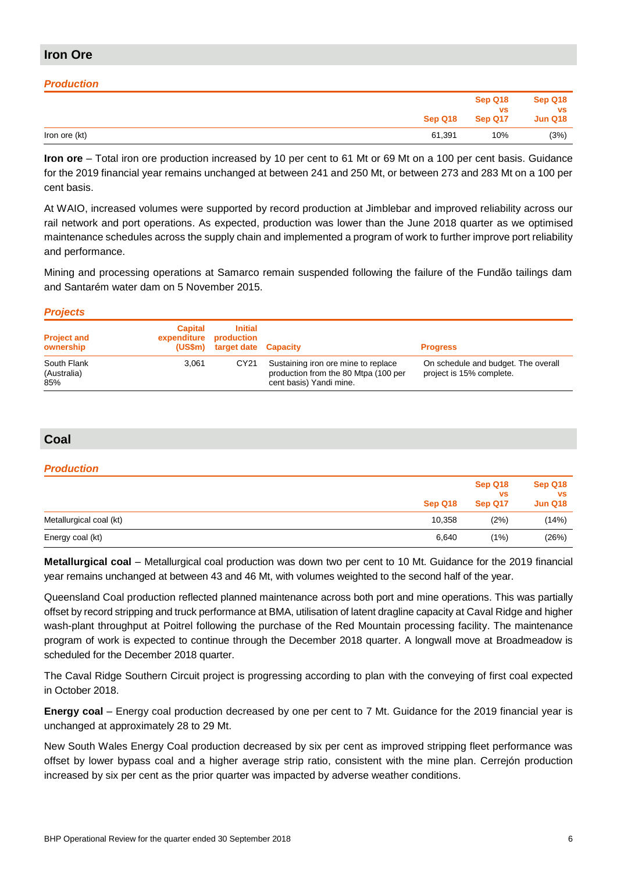# **Iron Ore**

# *Production*

|               | Sep Q18 | Sep Q18<br><b>VS</b><br>Sep Q17 | Sep Q18<br><b>VS</b><br><b>Jun Q18</b> |
|---------------|---------|---------------------------------|----------------------------------------|
| Iron ore (kt) | 61,391  | 10%                             | (3%)                                   |

**Iron ore** – Total iron ore production increased by 10 per cent to 61 Mt or 69 Mt on a 100 per cent basis. Guidance for the 2019 financial year remains unchanged at between 241 and 250 Mt, or between 273 and 283 Mt on a 100 per cent basis.

At WAIO, increased volumes were supported by record production at Jimblebar and improved reliability across our rail network and port operations. As expected, production was lower than the June 2018 quarter as we optimised maintenance schedules across the supply chain and implemented a program of work to further improve port reliability and performance.

Mining and processing operations at Samarco remain suspended following the failure of the Fundão tailings dam and Santarém water dam on 5 November 2015.

### *Projects*

| <b>Project and</b><br>ownership   | <b>Capital</b><br>expenditure production | Initial<br>(US\$m) target date Capacity |                                                                                                        | <b>Progress</b>                                                 |
|-----------------------------------|------------------------------------------|-----------------------------------------|--------------------------------------------------------------------------------------------------------|-----------------------------------------------------------------|
| South Flank<br>(Australia)<br>85% | 3.061                                    | CY21                                    | Sustaining iron ore mine to replace<br>production from the 80 Mtpa (100 per<br>cent basis) Yandi mine. | On schedule and budget. The overall<br>project is 15% complete. |

# **Coal**

# *Production*

|                         | Sep Q18 | <b>VS</b><br>Sep Q17 | vs<br><b>Jun Q18</b> |
|-------------------------|---------|----------------------|----------------------|
| Metallurgical coal (kt) | 10,358  | (2%)                 | (14%)                |
| Energy coal (kt)        | 6,640   | $(1\%)$              | (26%)                |

**Metallurgical coal** – Metallurgical coal production was down two per cent to 10 Mt. Guidance for the 2019 financial year remains unchanged at between 43 and 46 Mt, with volumes weighted to the second half of the year.

Queensland Coal production reflected planned maintenance across both port and mine operations. This was partially offset by record stripping and truck performance at BMA, utilisation of latent dragline capacity at Caval Ridge and higher wash-plant throughput at Poitrel following the purchase of the Red Mountain processing facility. The maintenance program of work is expected to continue through the December 2018 quarter. A longwall move at Broadmeadow is scheduled for the December 2018 quarter.

The Caval Ridge Southern Circuit project is progressing according to plan with the conveying of first coal expected in October 2018.

**Energy coal** – Energy coal production decreased by one per cent to 7 Mt. Guidance for the 2019 financial year is unchanged at approximately 28 to 29 Mt.

New South Wales Energy Coal production decreased by six per cent as improved stripping fleet performance was offset by lower bypass coal and a higher average strip ratio, consistent with the mine plan. Cerrejón production increased by six per cent as the prior quarter was impacted by adverse weather conditions.

**Sep Q18**

**Sep Q18**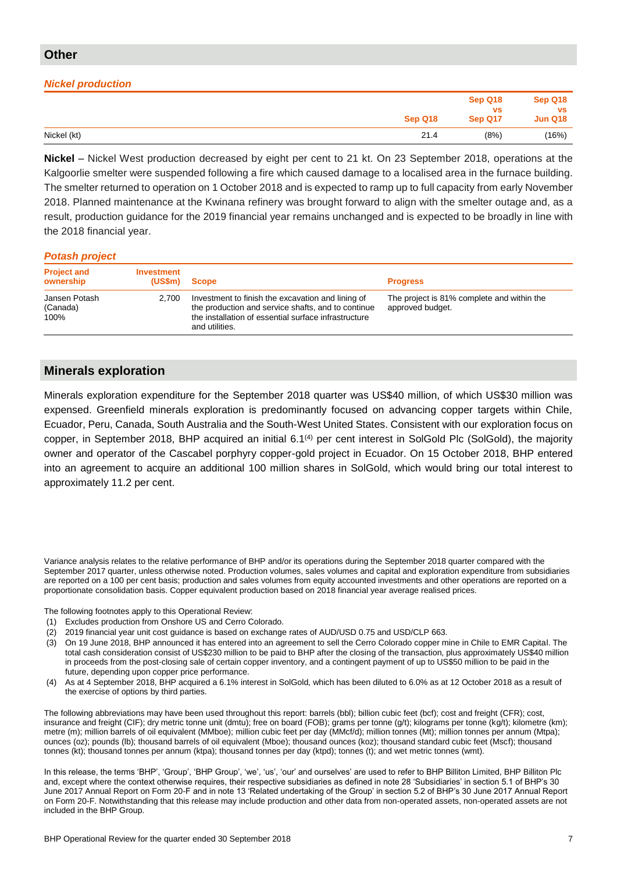# *Nickel production*

|             |         | Sep Q18              | Sep Q18                     |
|-------------|---------|----------------------|-----------------------------|
|             | Sep Q18 | <b>VS</b><br>Sep Q17 | <b>VS</b><br><b>Jun Q18</b> |
| Nickel (kt) | 21.4    | (8%)                 | (16%)                       |

**Nickel** – Nickel West production decreased by eight per cent to 21 kt. On 23 September 2018, operations at the Kalgoorlie smelter were suspended following a fire which caused damage to a localised area in the furnace building. The smelter returned to operation on 1 October 2018 and is expected to ramp up to full capacity from early November 2018. Planned maintenance at the Kwinana refinery was brought forward to align with the smelter outage and, as a result, production guidance for the 2019 financial year remains unchanged and is expected to be broadly in line with the 2018 financial year.

#### *Potash project*

| <b>Project and</b><br>ownership   | Investment<br>(USSm) | <b>Scope</b>                                                                                                                                                                      | <b>Progress</b>                                                |
|-----------------------------------|----------------------|-----------------------------------------------------------------------------------------------------------------------------------------------------------------------------------|----------------------------------------------------------------|
| Jansen Potash<br>(Canada)<br>100% | 2,700                | Investment to finish the excavation and lining of<br>the production and service shafts, and to continue<br>the installation of essential surface infrastructure<br>and utilities. | The project is 81% complete and within the<br>approved budget. |

# **Minerals exploration**

Minerals exploration expenditure for the September 2018 quarter was US\$40 million, of which US\$30 million was expensed. Greenfield minerals exploration is predominantly focused on advancing copper targets within Chile, Ecuador, Peru, Canada, South Australia and the South-West United States. Consistent with our exploration focus on copper, in September 2018, BHP acquired an initial 6.1(4) per cent interest in SolGold Plc (SolGold), the majority owner and operator of the Cascabel porphyry copper-gold project in Ecuador. On 15 October 2018, BHP entered into an agreement to acquire an additional 100 million shares in SolGold, which would bring our total interest to approximately 11.2 per cent.

Variance analysis relates to the relative performance of BHP and/or its operations during the September 2018 quarter compared with the September 2017 quarter, unless otherwise noted. Production volumes, sales volumes and capital and exploration expenditure from subsidiaries are reported on a 100 per cent basis; production and sales volumes from equity accounted investments and other operations are reported on a proportionate consolidation basis. Copper equivalent production based on 2018 financial year average realised prices.

The following footnotes apply to this Operational Review:

- (1) Excludes production from Onshore US and Cerro Colorado.
- (2) 2019 financial year unit cost guidance is based on exchange rates of AUD/USD 0.75 and USD/CLP 663.
- (3) On 19 June 2018, BHP announced it has entered into an agreement to sell the Cerro Colorado copper mine in Chile to EMR Capital. The total cash consideration consist of US\$230 million to be paid to BHP after the closing of the transaction, plus approximately US\$40 million in proceeds from the post-closing sale of certain copper inventory, and a contingent payment of up to US\$50 million to be paid in the future, depending upon copper price performance.
- (4) As at 4 September 2018, BHP acquired a 6.1% interest in SolGold, which has been diluted to 6.0% as at 12 October 2018 as a result of the exercise of options by third parties.

The following abbreviations may have been used throughout this report: barrels (bbl); billion cubic feet (bcf); cost and freight (CFR); cost, insurance and freight (CIF); dry metric tonne unit (dmtu); free on board (FOB); grams per tonne (g/t); kilograms per tonne (kg/t); kilometre (km); metre (m); million barrels of oil equivalent (MMboe); million cubic feet per day (MMcf/d); million tonnes (Mt); million tonnes per annum (Mtpa); ounces (oz); pounds (lb); thousand barrels of oil equivalent (Mboe); thousand ounces (koz); thousand standard cubic feet (Mscf); thousand tonnes (kt); thousand tonnes per annum (ktpa); thousand tonnes per day (ktpd); tonnes (t); and wet metric tonnes (wmt).

In this release, the terms 'BHP', 'Group', 'BHP Group', 'we', 'us', 'our' and ourselves' are used to refer to BHP Billiton Limited, BHP Billiton Plc and, except where the context otherwise requires, their respective subsidiaries as defined in note 28 'Subsidiaries' in section 5.1 of BHP's 30 June 2017 Annual Report on Form 20-F and in note 13 'Related undertaking of the Group' in section 5.2 of BHP's 30 June 2017 Annual Report on Form 20-F. Notwithstanding that this release may include production and other data from non-operated assets, non-operated assets are not included in the BHP Group.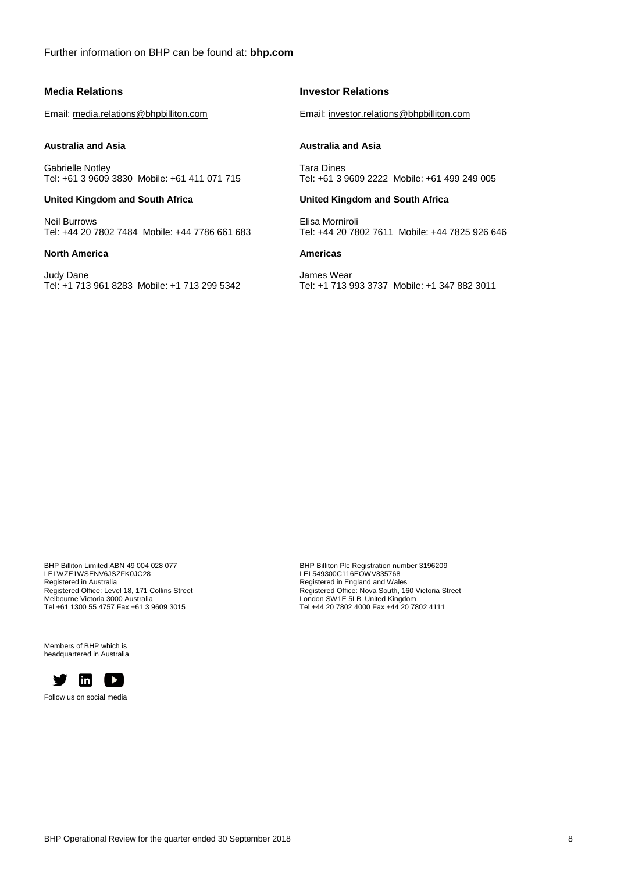### **Media Relations**

Email: [media.relations@bhpbilliton.com](mailto:media.relations@bhpbilliton.com)

#### **Australia and Asia**

Gabrielle Notley Tel: +61 3 9609 3830 Mobile: +61 411 071 715

#### **United Kingdom and South Africa**

Neil Burrows Tel: +44 20 7802 7484 Mobile: +44 7786 661 683

#### **North America**

Judy Dane Tel: +1 713 961 8283 Mobile: +1 713 299 5342

# **Investor Relations**

Email[: investor.relations@bhpbilliton.com](mailto:investor.relations@bhpbilliton.com)

#### **Australia and Asia**

Tara Dines Tel: +61 3 9609 2222 Mobile: +61 499 249 005

#### **United Kingdom and South Africa**

Elisa Morniroli Tel: +44 20 7802 7611 Mobile: +44 7825 926 646

# **Americas**

James Wear Tel: +1 713 993 3737 Mobile: +1 347 882 3011

BHP Billiton Limited ABN 49 004 028 077 LEI WZE1WSENV6JSZFK0JC28 Registered in Australia Registered Office: Level 18, 171 Collins Street Melbourne Victoria 3000 Australia Tel +61 1300 55 4757 Fax +61 3 9609 3015

Members of BHP which is headquartered in Australia



Follow us on social media

BHP Billiton Plc Registration number 3196209 LEI 549300C116EOWV835768 Registered in England and Wales Registered Office: Nova South, 160 Victoria Street London SW1E 5LB United Kingdom Tel +44 20 7802 4000 Fax +44 20 7802 4111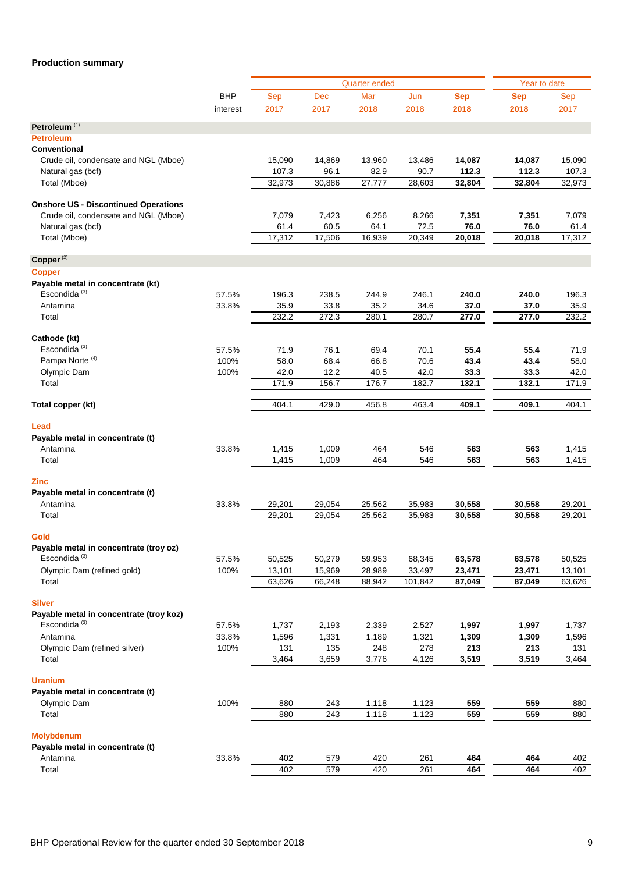# **Production summary**

|                                                               |            |        | <b>Quarter ended</b> | Year to date |         |            |            |        |
|---------------------------------------------------------------|------------|--------|----------------------|--------------|---------|------------|------------|--------|
|                                                               | <b>BHP</b> | Sep    | <b>Dec</b>           | Mar          | Jun     | <b>Sep</b> | <b>Sep</b> | Sep    |
|                                                               | interest   | 2017   | 2017                 | 2018         | 2018    | 2018       | 2018       | 2017   |
|                                                               |            |        |                      |              |         |            |            |        |
| Petroleum <sup>(1)</sup><br><b>Petroleum</b>                  |            |        |                      |              |         |            |            |        |
| <b>Conventional</b>                                           |            |        |                      |              |         |            |            |        |
| Crude oil, condensate and NGL (Mboe)                          |            | 15,090 | 14,869               | 13,960       | 13,486  | 14,087     | 14,087     | 15,090 |
| Natural gas (bcf)                                             |            | 107.3  | 96.1                 | 82.9         | 90.7    | 112.3      | 112.3      | 107.3  |
| Total (Mboe)                                                  |            | 32,973 | 30,886               | 27,777       | 28,603  | 32,804     | 32,804     | 32,973 |
|                                                               |            |        |                      |              |         |            |            |        |
| <b>Onshore US - Discontinued Operations</b>                   |            |        |                      |              |         |            |            |        |
| Crude oil, condensate and NGL (Mboe)                          |            | 7,079  | 7,423                | 6,256        | 8,266   | 7,351      | 7,351      | 7,079  |
| Natural gas (bcf)                                             |            | 61.4   | 60.5                 | 64.1         | 72.5    | 76.0       | 76.0       | 61.4   |
| Total (Mboe)                                                  |            | 17,312 | 17,506               | 16,939       | 20,349  | 20,018     | 20,018     | 17,312 |
|                                                               |            |        |                      |              |         |            |            |        |
| Copper <sup>(2)</sup>                                         |            |        |                      |              |         |            |            |        |
| <b>Copper</b>                                                 |            |        |                      |              |         |            |            |        |
| Payable metal in concentrate (kt)<br>Escondida <sup>(3)</sup> |            |        |                      |              |         |            |            |        |
|                                                               | 57.5%      | 196.3  | 238.5                | 244.9        | 246.1   | 240.0      | 240.0      | 196.3  |
| Antamina                                                      | 33.8%      | 35.9   | 33.8                 | 35.2         | 34.6    | 37.0       | 37.0       | 35.9   |
| Total                                                         |            | 232.2  | 272.3                | 280.1        | 280.7   | 277.0      | 277.0      | 232.2  |
| Cathode (kt)                                                  |            |        |                      |              |         |            |            |        |
| Escondida <sup>(3)</sup>                                      | 57.5%      | 71.9   | 76.1                 | 69.4         | 70.1    | 55.4       | 55.4       | 71.9   |
| Pampa Norte <sup>(4)</sup>                                    | 100%       | 58.0   | 68.4                 | 66.8         | 70.6    | 43.4       | 43.4       | 58.0   |
| Olympic Dam                                                   | 100%       | 42.0   | 12.2                 | 40.5         | 42.0    | 33.3       | 33.3       | 42.0   |
| Total                                                         |            | 171.9  | 156.7                | 176.7        | 182.7   | 132.1      | 132.1      | 171.9  |
| Total copper (kt)                                             |            | 404.1  | 429.0                | 456.8        | 463.4   | 409.1      | 409.1      | 404.1  |
|                                                               |            |        |                      |              |         |            |            |        |
| Lead                                                          |            |        |                      |              |         |            |            |        |
| Payable metal in concentrate (t)                              |            |        |                      |              |         |            |            |        |
| Antamina                                                      | 33.8%      | 1,415  | 1,009                | 464          | 546     | 563        | 563        | 1,415  |
| Total                                                         |            | 1,415  | 1,009                | 464          | 546     | 563        | 563        | 1,415  |
| <b>Zinc</b>                                                   |            |        |                      |              |         |            |            |        |
| Payable metal in concentrate (t)                              |            |        |                      |              |         |            |            |        |
| Antamina                                                      | 33.8%      | 29,201 | 29,054               | 25,562       | 35,983  | 30,558     | 30,558     | 29,201 |
| Total                                                         |            | 29,201 | 29,054               | 25,562       | 35,983  | 30,558     | 30,558     | 29,201 |
|                                                               |            |        |                      |              |         |            |            |        |
| Gold                                                          |            |        |                      |              |         |            |            |        |
| Payable metal in concentrate (troy oz)                        |            |        |                      |              |         |            |            |        |
| Escondida <sup>(3)</sup>                                      | 57.5%      | 50,525 | 50,279               | 59,953       | 68,345  | 63,578     | 63,578     | 50,525 |
| Olympic Dam (refined gold)                                    | 100%       | 13,101 | 15,969               | 28,989       | 33,497  | 23,471     | 23,471     | 13,101 |
| Total                                                         |            | 63,626 | 66,248               | 88,942       | 101,842 | 87,049     | 87,049     | 63,626 |
| <b>Silver</b>                                                 |            |        |                      |              |         |            |            |        |
| Payable metal in concentrate (troy koz)                       |            |        |                      |              |         |            |            |        |
| Escondida <sup>(3)</sup>                                      | 57.5%      | 1,737  | 2,193                | 2,339        | 2,527   | 1,997      | 1,997      | 1,737  |
| Antamina                                                      | 33.8%      | 1,596  | 1,331                | 1,189        | 1,321   | 1,309      | 1,309      | 1,596  |
| Olympic Dam (refined silver)                                  | 100%       | 131    | 135                  | 248          | 278     | 213        | 213        | 131    |
| Total                                                         |            | 3,464  | 3,659                | 3,776        | 4,126   | 3,519      | 3,519      | 3,464  |
|                                                               |            |        |                      |              |         |            |            |        |
| <b>Uranium</b>                                                |            |        |                      |              |         |            |            |        |
| Payable metal in concentrate (t)                              |            |        |                      |              |         |            |            |        |
| Olympic Dam                                                   | 100%       | 880    | 243                  | 1,118        | 1,123   | 559<br>559 | 559        | 880    |
| Total                                                         |            | 880    | 243                  | 1,118        | 1,123   |            | 559        | 880    |
| <b>Molybdenum</b>                                             |            |        |                      |              |         |            |            |        |
| Payable metal in concentrate (t)                              |            |        |                      |              |         |            |            |        |
| Antamina                                                      | 33.8%      | 402    | 579                  | 420          | 261     | 464        | 464        | 402    |
| Total                                                         |            | 402    | 579                  | 420          | 261     | 464        | 464        | 402    |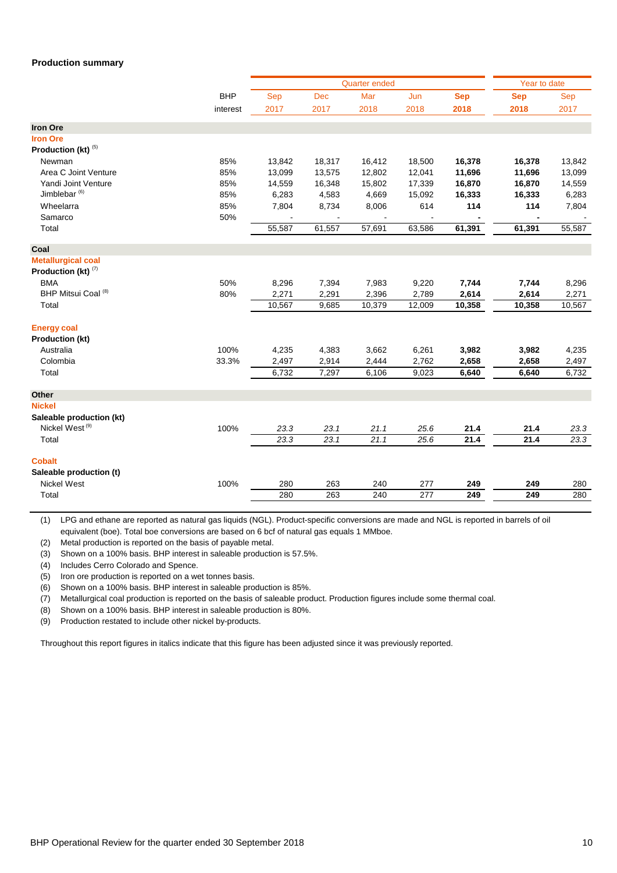#### **Production summary**

|                            |            |        |            | <b>Quarter ended</b> |                  |            | Year to date |        |
|----------------------------|------------|--------|------------|----------------------|------------------|------------|--------------|--------|
|                            | <b>BHP</b> | Sep    | <b>Dec</b> | Mar                  | Jun              | <b>Sep</b> | <b>Sep</b>   | Sep    |
|                            | interest   | 2017   | 2017       | 2018                 | 2018             | 2018       | 2018         | 2017   |
| <b>Iron Ore</b>            |            |        |            |                      |                  |            |              |        |
| <b>Iron Ore</b>            |            |        |            |                      |                  |            |              |        |
| Production (kt) (5)        |            |        |            |                      |                  |            |              |        |
| Newman                     | 85%        | 13,842 | 18,317     | 16,412               | 18,500           | 16,378     | 16,378       | 13,842 |
| Area C Joint Venture       | 85%        | 13,099 | 13,575     | 12,802               | 12,041           | 11,696     | 11,696       | 13,099 |
| Yandi Joint Venture        | 85%        | 14,559 | 16,348     | 15,802               | 17,339           | 16,870     | 16,870       | 14,559 |
| Jimblebar $(6)$            | 85%        | 6,283  | 4,583      | 4,669                | 15,092           | 16,333     | 16,333       | 6,283  |
| Wheelarra                  | 85%        | 7,804  | 8,734      | 8,006                | 614              | 114        | 114          | 7,804  |
| Samarco                    | 50%        |        |            |                      |                  |            |              |        |
| Total                      |            | 55,587 | 61,557     | 57,691               | 63,586           | 61,391     | 61,391       | 55,587 |
| Coal                       |            |        |            |                      |                  |            |              |        |
| <b>Metallurgical coal</b>  |            |        |            |                      |                  |            |              |        |
| Production (kt) $(7)$      |            |        |            |                      |                  |            |              |        |
| <b>BMA</b>                 | 50%        | 8,296  | 7,394      | 7,983                | 9,220            | 7,744      | 7,744        | 8,296  |
| BHP Mitsui Coal (8)        | 80%        | 2,271  | 2,291      | 2,396                | 2,789            | 2,614      | 2,614        | 2,271  |
| Total                      |            | 10,567 | 9,685      | 10,379               | 12,009           | 10,358     | 10,358       | 10,567 |
| <b>Energy coal</b>         |            |        |            |                      |                  |            |              |        |
| <b>Production (kt)</b>     |            |        |            |                      |                  |            |              |        |
| Australia                  | 100%       | 4,235  | 4,383      | 3,662                | 6,261            | 3,982      | 3,982        | 4,235  |
| Colombia                   | 33.3%      | 2,497  | 2,914      | 2,444                | 2,762            | 2,658      | 2,658        | 2,497  |
| Total                      |            | 6,732  | 7,297      | 6,106                | 9,023            | 6,640      | 6,640        | 6,732  |
| Other                      |            |        |            |                      |                  |            |              |        |
| <b>Nickel</b>              |            |        |            |                      |                  |            |              |        |
| Saleable production (kt)   |            |        |            |                      |                  |            |              |        |
| Nickel West <sup>(9)</sup> | 100%       | 23.3   | 23.1       | 21.1                 | 25.6             | 21.4       | 21.4         | 23.3   |
| Total                      |            | 23.3   | 23.1       | 21.1                 | 25.6             | 21.4       | 21.4         | 23.3   |
| <b>Cobalt</b>              |            |        |            |                      |                  |            |              |        |
| Saleable production (t)    |            |        |            |                      |                  |            |              |        |
| <b>Nickel West</b>         | 100%       | 280    | 263        | 240                  | 277              | 249        | 249          | 280    |
| Total                      |            | 280    | 263        | 240                  | $\overline{277}$ | 249        | 249          | 280    |
|                            |            |        |            |                      |                  |            |              |        |

(1) LPG and ethane are reported as natural gas liquids (NGL). Product-specific conversions are made and NGL is reported in barrels of oil equivalent (boe). Total boe conversions are based on 6 bcf of natural gas equals 1 MMboe.

(2) Metal production is reported on the basis of payable metal.

(3) Shown on a 100% basis. BHP interest in saleable production is 57.5%.

(4) Includes Cerro Colorado and Spence.

(5) Iron ore production is reported on a wet tonnes basis.

(6) Shown on a 100% basis. BHP interest in saleable production is 85%.

(7) Metallurgical coal production is reported on the basis of saleable product. Production figures include some thermal coal.

(8) Shown on a 100% basis. BHP interest in saleable production is 80%.

(9) Production restated to include other nickel by-products.

Throughout this report figures in italics indicate that this figure has been adjusted since it was previously reported.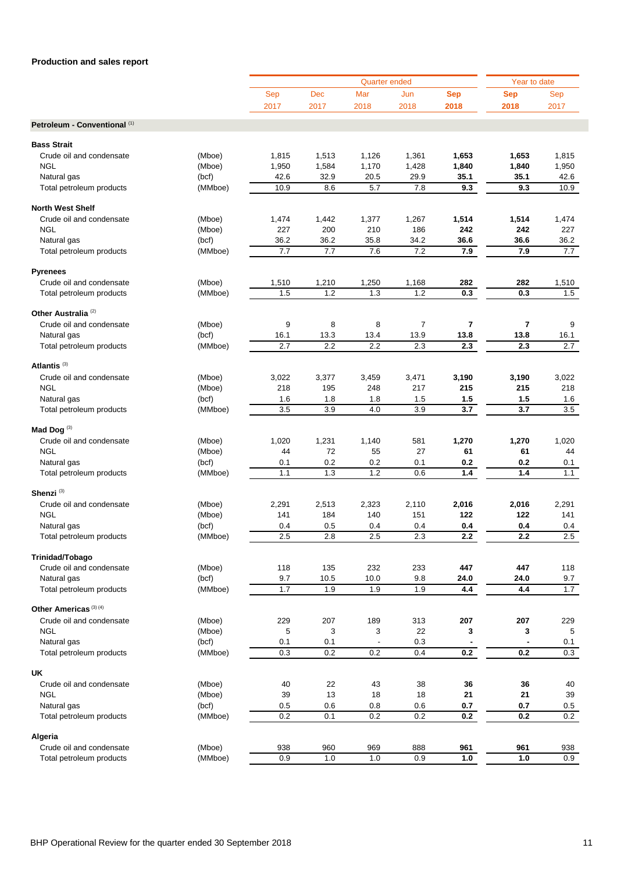|                                  |         |            |       | <b>Quarter ended</b> |                |                  | Year to date     |       |
|----------------------------------|---------|------------|-------|----------------------|----------------|------------------|------------------|-------|
|                                  |         | <b>Sep</b> | Dec   | Mar                  | Jun            | <b>Sep</b>       | <b>Sep</b>       | Sep   |
|                                  |         | 2017       | 2017  | 2018                 | 2018           | 2018             | 2018             | 2017  |
|                                  |         |            |       |                      |                |                  |                  |       |
| Petroleum - Conventional (1)     |         |            |       |                      |                |                  |                  |       |
|                                  |         |            |       |                      |                |                  |                  |       |
| <b>Bass Strait</b>               |         |            |       |                      |                |                  |                  |       |
| Crude oil and condensate         | (Mboe)  | 1,815      | 1,513 | 1,126                | 1,361          | 1,653            | 1,653            | 1,815 |
| <b>NGL</b>                       | (Mboe)  | 1,950      | 1,584 | 1,170                | 1,428          | 1,840            | 1,840            | 1,950 |
| Natural gas                      | (bcf)   | 42.6       | 32.9  | 20.5                 | 29.9           | 35.1             | 35.1             | 42.6  |
| Total petroleum products         | (MMboe) | 10.9       | 8.6   | 5.7                  | 7.8            | 9.3              | 9.3              | 10.9  |
| <b>North West Shelf</b>          |         |            |       |                      |                |                  |                  |       |
| Crude oil and condensate         | (Mboe)  | 1,474      | 1,442 | 1,377                | 1,267          | 1,514            | 1,514            | 1,474 |
| <b>NGL</b>                       | (Mboe)  | 227        | 200   | 210                  | 186            | 242              | 242              | 227   |
| Natural gas                      | (bcf)   | 36.2       | 36.2  | 35.8                 | 34.2           | 36.6             | 36.6             | 36.2  |
|                                  | (MMboe) | 7.7        | 7.7   | 7.6                  | 7.2            | 7.9              | 7.9              | 7.7   |
| Total petroleum products         |         |            |       |                      |                |                  |                  |       |
| <b>Pyrenees</b>                  |         |            |       |                      |                |                  |                  |       |
| Crude oil and condensate         | (Mboe)  | 1,510      | 1,210 | 1,250                | 1,168          | 282              | 282              | 1,510 |
| Total petroleum products         | (MMboe) | 1.5        | 1.2   | 1.3                  | 1.2            | 0.3              | 0.3              | 1.5   |
|                                  |         |            |       |                      |                |                  |                  |       |
| Other Australia <sup>(2)</sup>   |         |            |       |                      |                |                  |                  |       |
| Crude oil and condensate         | (Mboe)  | 9          | 8     | 8                    | $\overline{7}$ | $\overline{7}$   | 7                | 9     |
| Natural gas                      | (bcf)   | 16.1       | 13.3  | 13.4                 | 13.9           | 13.8             | 13.8             | 16.1  |
| Total petroleum products         | (MMboe) | 2.7        | 2.2   | 2.2                  | 2.3            | 2.3              | 2.3              | 2.7   |
|                                  |         |            |       |                      |                |                  |                  |       |
| Atlantis <sup>(3)</sup>          |         |            |       |                      |                |                  |                  |       |
| Crude oil and condensate         | (Mboe)  | 3,022      | 3,377 | 3,459                | 3,471          | 3,190            | 3,190            | 3,022 |
| <b>NGL</b>                       | (Mboe)  | 218        | 195   | 248                  | 217            | 215              | 215              | 218   |
| Natural gas                      | (bcf)   | 1.6        | 1.8   | 1.8                  | 1.5            | 1.5              | 1.5              | 1.6   |
| Total petroleum products         | (MMboe) | 3.5        | 3.9   | 4.0                  | 3.9            | $\overline{3.7}$ | 3.7              | 3.5   |
|                                  |         |            |       |                      |                |                  |                  |       |
| Mad Dog <sup>(3)</sup>           |         |            |       |                      |                |                  |                  |       |
| Crude oil and condensate         | (Mboe)  | 1,020      | 1,231 | 1,140                | 581            | 1,270            | 1,270            | 1,020 |
| <b>NGL</b>                       | (Mboe)  | 44         | 72    | 55                   | 27             | 61               | 61               | 44    |
| Natural gas                      | (bcf)   | 0.1        | 0.2   | 0.2                  | 0.1            | 0.2              | 0.2              | 0.1   |
| Total petroleum products         | (MMboe) | 1.1        | 1.3   | 1.2                  | 0.6            | 1.4              | 1.4              | 1.1   |
|                                  |         |            |       |                      |                |                  |                  |       |
| Shenzi <sup>(3)</sup>            |         |            |       |                      |                |                  |                  |       |
| Crude oil and condensate         | (Mboe)  | 2,291      | 2,513 | 2,323                | 2,110          | 2,016            | 2,016            | 2,291 |
| <b>NGL</b>                       | (Mboe)  | 141        | 184   | 140                  | 151            | 122              | 122              | 141   |
| Natural gas                      | (bcf)   | 0.4        | 0.5   | 0.4                  | 0.4            | 0.4              | 0.4              | 0.4   |
| Total petroleum products         | (MMboe) | 2.5        | 2.8   | 2.5                  | 2.3            | 2.2              | $\overline{2.2}$ | 2.5   |
|                                  |         |            |       |                      |                |                  |                  |       |
| Trinidad/Tobago                  |         |            |       |                      |                |                  |                  |       |
| Crude oil and condensate         | (Mboe)  | 118        | 135   | 232                  | 233            | 447              | 447              | 118   |
| Natural gas                      | (bcf)   | 9.7        | 10.5  | 10.0                 | 9.8            | 24.0             | 24.0             | 9.7   |
| Total petroleum products         | (MMboe) | $1.7$      | 1.9   | 1.9                  | 1.9            | 4.4              | 4.4              | 1.7   |
|                                  |         |            |       |                      |                |                  |                  |       |
| Other Americas <sup>(3)(4)</sup> |         |            |       |                      |                |                  |                  |       |
| Crude oil and condensate         | (Mboe)  | 229        | 207   | 189                  | 313            | 207              | 207              | 229   |
| <b>NGL</b>                       | (Mboe)  | 5          | 3     | 3                    | 22             | 3                | 3                | 5     |
| Natural gas                      | (bcf)   | 0.1        | 0.1   |                      | 0.3            |                  |                  | 0.1   |
| Total petroleum products         | (MMboe) | 0.3        | 0.2   | 0.2                  | 0.4            | 0.2              | 0.2              | 0.3   |
|                                  |         |            |       |                      |                |                  |                  |       |
| UK                               |         |            |       |                      |                |                  |                  |       |
| Crude oil and condensate         | (Mboe)  | 40         | 22    | 43                   | 38             | 36               | 36               | 40    |
| <b>NGL</b>                       | (Mboe)  | 39         | 13    | 18                   | 18             | 21               | 21               | 39    |
| Natural gas                      | (bcf)   | 0.5        | 0.6   | 0.8                  | 0.6            | 0.7              | 0.7              | 0.5   |
| Total petroleum products         | (MMboe) | 0.2        | 0.1   | 0.2                  | 0.2            | 0.2              | 0.2              | 0.2   |
|                                  |         |            |       |                      |                |                  |                  |       |
| Algeria                          |         |            |       |                      |                |                  |                  |       |
| Crude oil and condensate         | (Mboe)  | 938        | 960   | 969                  | 888            | 961              | 961              | 938   |
| Total petroleum products         | (MMboe) | 0.9        | 1.0   | 1.0                  | 0.9            | 1.0              | 1.0              | 0.9   |
|                                  |         |            |       |                      |                |                  |                  |       |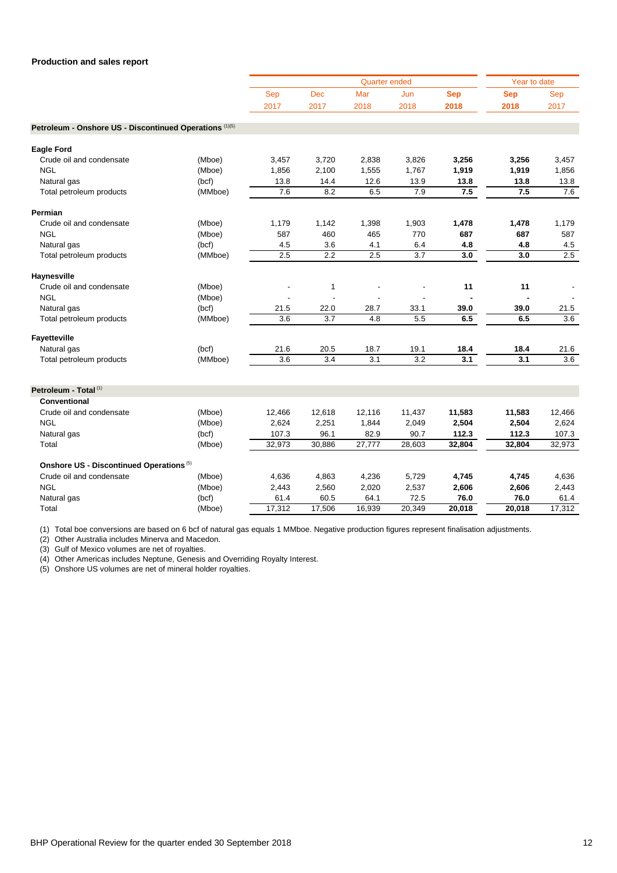|                                                         |         |        |                  | <b>Quarter ended</b> |                  |            | Year to date |                  |
|---------------------------------------------------------|---------|--------|------------------|----------------------|------------------|------------|--------------|------------------|
|                                                         |         | Sep    | <b>Dec</b>       | Mar                  | Jun              | <b>Sep</b> | <b>Sep</b>   | Sep              |
|                                                         |         | 2017   | 2017             | 2018                 | 2018             | 2018       | 2018         | 2017             |
| Petroleum - Onshore US - Discontinued Operations (1)(5) |         |        |                  |                      |                  |            |              |                  |
|                                                         |         |        |                  |                      |                  |            |              |                  |
| <b>Eagle Ford</b>                                       |         |        |                  |                      |                  |            |              |                  |
| Crude oil and condensate                                | (Mboe)  | 3,457  | 3,720            | 2,838                | 3,826            | 3,256      | 3,256        | 3,457            |
| <b>NGL</b>                                              | (Mboe)  | 1,856  | 2,100            | 1,555                | 1,767            | 1,919      | 1,919        | 1,856            |
| Natural gas                                             | (bcf)   | 13.8   | 14.4             | 12.6                 | 13.9             | 13.8       | 13.8         | 13.8             |
| Total petroleum products                                | (MMboe) | 7.6    | 8.2              | 6.5                  | 7.9              | 7.5        | 7.5          | 7.6              |
| Permian                                                 |         |        |                  |                      |                  |            |              |                  |
| Crude oil and condensate                                | (Mboe)  | 1,179  | 1,142            | 1,398                | 1,903            | 1,478      | 1,478        | 1,179            |
| <b>NGL</b>                                              | (Mboe)  | 587    | 460              | 465                  | 770              | 687        | 687          | 587              |
| Natural gas                                             | (bcf)   | 4.5    | 3.6              | 4.1                  | 6.4              | 4.8        | 4.8          | 4.5              |
| Total petroleum products                                | (MMboe) | 2.5    | $\overline{2.2}$ | $\overline{2.5}$     | $\overline{3.7}$ | 3.0        | 3.0          | $\overline{2.5}$ |
| Haynesville                                             |         |        |                  |                      |                  |            |              |                  |
| Crude oil and condensate                                | (Mboe)  |        | $\mathbf{1}$     |                      |                  | 11         | 11           |                  |
| <b>NGL</b>                                              | (Mboe)  |        |                  |                      |                  |            |              |                  |
| Natural gas                                             | (bcf)   | 21.5   | 22.0             | 28.7                 | 33.1             | 39.0       | 39.0         | 21.5             |
| Total petroleum products                                | (MMboe) | 3.6    | 3.7              | 4.8                  | 5.5              | 6.5        | 6.5          | 3.6              |
| Fayetteville                                            |         |        |                  |                      |                  |            |              |                  |
| Natural gas                                             | (bcf)   | 21.6   | 20.5             | 18.7                 | 19.1             | 18.4       | 18.4         | 21.6             |
| Total petroleum products                                | (MMboe) | 3.6    | 3.4              | 3.1                  | 3.2              | 3.1        | 3.1          | 3.6              |
|                                                         |         |        |                  |                      |                  |            |              |                  |
| Petroleum - Total <sup>(1)</sup>                        |         |        |                  |                      |                  |            |              |                  |
| Conventional                                            |         |        |                  |                      |                  |            |              |                  |
| Crude oil and condensate                                | (Mboe)  | 12,466 | 12,618           | 12,116               | 11,437           | 11,583     | 11,583       | 12,466           |
| <b>NGL</b>                                              | (Mboe)  | 2,624  | 2,251            | 1,844                | 2,049            | 2,504      | 2,504        | 2,624            |
| Natural gas                                             | (bcf)   | 107.3  | 96.1             | 82.9                 | 90.7             | 112.3      | 112.3        | 107.3            |
| Total                                                   | (Mboe)  | 32,973 | 30,886           | 27,777               | 28,603           | 32,804     | 32,804       | 32,973           |
| Onshore US - Discontinued Operations <sup>(5)</sup>     |         |        |                  |                      |                  |            |              |                  |
| Crude oil and condensate                                | (Mboe)  | 4,636  | 4,863            | 4,236                | 5,729            | 4,745      | 4,745        | 4,636            |
| <b>NGL</b>                                              | (Mboe)  | 2,443  | 2,560            | 2,020                | 2,537            | 2,606      | 2,606        | 2,443            |
| Natural gas                                             | (bcf)   | 61.4   | 60.5             | 64.1                 | 72.5             | 76.0       | 76.0         | 61.4             |
| Total                                                   | (Mboe)  | 17,312 | 17,506           | 16,939               | 20,349           | 20,018     | 20,018       | 17,312           |

(1) Total boe conversions are based on 6 bcf of natural gas equals 1 MMboe. Negative production figures represent finalisation adjustments.

(2) Other Australia includes Minerva and Macedon.

(3) Gulf of Mexico volumes are net of royalties.

(4) Other Americas includes Neptune, Genesis and Overriding Royalty Interest.

(5) Onshore US volumes are net of mineral holder royalties.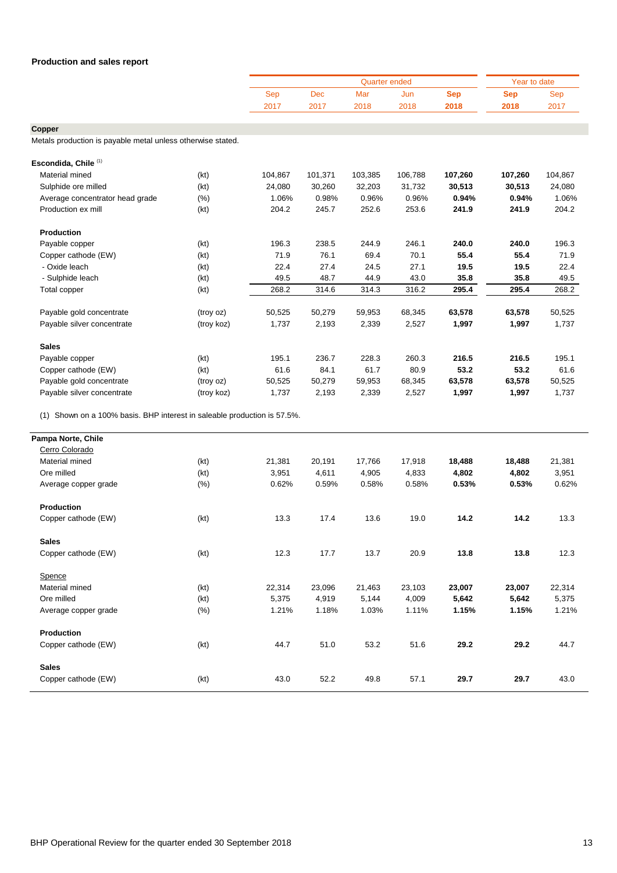|      |      |      | Year to date |      |      |      |
|------|------|------|--------------|------|------|------|
| Sep  | Dec  | Mar  | Jun          | Sep  | Sep  | Sep  |
| 2017 | 2017 | 2018 | 2018         | 2018 | 2018 | 2017 |

**Copper**

Metals production is payable metal unless otherwise stated.

| Escondida, Chile (1)            |            |         |         |         |         |         |         |         |
|---------------------------------|------------|---------|---------|---------|---------|---------|---------|---------|
| Material mined                  | (kt)       | 104,867 | 101,371 | 103,385 | 106,788 | 107,260 | 107,260 | 104,867 |
| Sulphide ore milled             | (kt)       | 24,080  | 30,260  | 32,203  | 31,732  | 30,513  | 30,513  | 24,080  |
| Average concentrator head grade | (%)        | 1.06%   | 0.98%   | 0.96%   | 0.96%   | 0.94%   | 0.94%   | 1.06%   |
| Production ex mill              | (kt)       | 204.2   | 245.7   | 252.6   | 253.6   | 241.9   | 241.9   | 204.2   |
| Production                      |            |         |         |         |         |         |         |         |
| Payable copper                  | (kt)       | 196.3   | 238.5   | 244.9   | 246.1   | 240.0   | 240.0   | 196.3   |
| Copper cathode (EW)             | (kt)       | 71.9    | 76.1    | 69.4    | 70.1    | 55.4    | 55.4    | 71.9    |
| - Oxide leach                   | (kt)       | 22.4    | 27.4    | 24.5    | 27.1    | 19.5    | 19.5    | 22.4    |
| - Sulphide leach                | (kt)       | 49.5    | 48.7    | 44.9    | 43.0    | 35.8    | 35.8    | 49.5    |
| Total copper                    | (kt)       | 268.2   | 314.6   | 314.3   | 316.2   | 295.4   | 295.4   | 268.2   |
| Payable gold concentrate        | (troy oz)  | 50,525  | 50,279  | 59,953  | 68,345  | 63,578  | 63,578  | 50,525  |
| Payable silver concentrate      | (troy koz) | 1,737   | 2,193   | 2,339   | 2,527   | 1,997   | 1,997   | 1,737   |
| <b>Sales</b>                    |            |         |         |         |         |         |         |         |
| Payable copper                  | (kt)       | 195.1   | 236.7   | 228.3   | 260.3   | 216.5   | 216.5   | 195.1   |
| Copper cathode (EW)             | (kt)       | 61.6    | 84.1    | 61.7    | 80.9    | 53.2    | 53.2    | 61.6    |
| Payable gold concentrate        | (troy oz)  | 50,525  | 50,279  | 59,953  | 68,345  | 63,578  | 63,578  | 50,525  |
| Payable silver concentrate      | (troy koz) | 1,737   | 2,193   | 2,339   | 2,527   | 1,997   | 1,997   | 1,737   |

(1) Shown on a 100% basis. BHP interest in saleable production is 57.5%.

| Pampa Norte, Chile   |         |        |        |        |        |        |        |        |
|----------------------|---------|--------|--------|--------|--------|--------|--------|--------|
| Cerro Colorado       |         |        |        |        |        |        |        |        |
| Material mined       | (kt)    | 21,381 | 20,191 | 17,766 | 17,918 | 18,488 | 18,488 | 21,381 |
| Ore milled           | (kt)    | 3,951  | 4,611  | 4,905  | 4,833  | 4,802  | 4,802  | 3,951  |
| Average copper grade | (% )    | 0.62%  | 0.59%  | 0.58%  | 0.58%  | 0.53%  | 0.53%  | 0.62%  |
| Production           |         |        |        |        |        |        |        |        |
| Copper cathode (EW)  | (kt)    | 13.3   | 17.4   | 13.6   | 19.0   | 14.2   | 14.2   | 13.3   |
| <b>Sales</b>         |         |        |        |        |        |        |        |        |
| Copper cathode (EW)  | (kt)    | 12.3   | 17.7   | 13.7   | 20.9   | 13.8   | 13.8   | 12.3   |
| Spence               |         |        |        |        |        |        |        |        |
| Material mined       | (kt)    | 22,314 | 23,096 | 21,463 | 23,103 | 23,007 | 23,007 | 22,314 |
| Ore milled           | (kt)    | 5,375  | 4,919  | 5,144  | 4,009  | 5,642  | 5,642  | 5,375  |
| Average copper grade | $(\% )$ | 1.21%  | 1.18%  | 1.03%  | 1.11%  | 1.15%  | 1.15%  | 1.21%  |
| Production           |         |        |        |        |        |        |        |        |
| Copper cathode (EW)  | (kt)    | 44.7   | 51.0   | 53.2   | 51.6   | 29.2   | 29.2   | 44.7   |
| <b>Sales</b>         |         |        |        |        |        |        |        |        |
| Copper cathode (EW)  | (kt)    | 43.0   | 52.2   | 49.8   | 57.1   | 29.7   | 29.7   | 43.0   |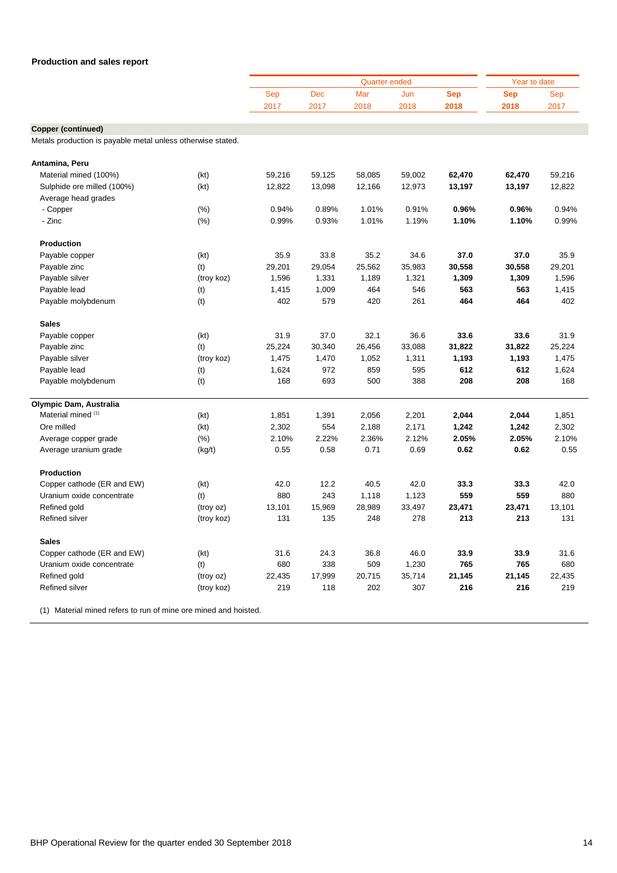|                                                             | Sep                                                                                                                                                      | <b>Dec</b>                                                                                                              | <b>Quarter ended</b><br>Mar                                                                                           | Jun                                                                                                                            | <b>Sep</b>                                                                                                                       | Year to date                                                                                                          |                                                                                                                       |
|-------------------------------------------------------------|----------------------------------------------------------------------------------------------------------------------------------------------------------|-------------------------------------------------------------------------------------------------------------------------|-----------------------------------------------------------------------------------------------------------------------|--------------------------------------------------------------------------------------------------------------------------------|----------------------------------------------------------------------------------------------------------------------------------|-----------------------------------------------------------------------------------------------------------------------|-----------------------------------------------------------------------------------------------------------------------|
|                                                             |                                                                                                                                                          |                                                                                                                         |                                                                                                                       |                                                                                                                                |                                                                                                                                  |                                                                                                                       |                                                                                                                       |
|                                                             |                                                                                                                                                          |                                                                                                                         |                                                                                                                       |                                                                                                                                |                                                                                                                                  | <b>Sep</b>                                                                                                            | Sep                                                                                                                   |
|                                                             | 2017                                                                                                                                                     | 2017                                                                                                                    | 2018                                                                                                                  | 2018                                                                                                                           | 2018                                                                                                                             | 2018                                                                                                                  | 2017                                                                                                                  |
|                                                             |                                                                                                                                                          |                                                                                                                         |                                                                                                                       |                                                                                                                                |                                                                                                                                  |                                                                                                                       |                                                                                                                       |
|                                                             |                                                                                                                                                          |                                                                                                                         |                                                                                                                       |                                                                                                                                |                                                                                                                                  |                                                                                                                       |                                                                                                                       |
| Metals production is payable metal unless otherwise stated. |                                                                                                                                                          |                                                                                                                         |                                                                                                                       |                                                                                                                                |                                                                                                                                  |                                                                                                                       |                                                                                                                       |
|                                                             |                                                                                                                                                          |                                                                                                                         |                                                                                                                       |                                                                                                                                |                                                                                                                                  |                                                                                                                       |                                                                                                                       |
|                                                             |                                                                                                                                                          |                                                                                                                         |                                                                                                                       |                                                                                                                                |                                                                                                                                  |                                                                                                                       | 59,216                                                                                                                |
|                                                             |                                                                                                                                                          |                                                                                                                         |                                                                                                                       |                                                                                                                                |                                                                                                                                  |                                                                                                                       | 12,822                                                                                                                |
|                                                             |                                                                                                                                                          |                                                                                                                         |                                                                                                                       |                                                                                                                                |                                                                                                                                  |                                                                                                                       |                                                                                                                       |
|                                                             |                                                                                                                                                          |                                                                                                                         |                                                                                                                       |                                                                                                                                |                                                                                                                                  |                                                                                                                       | 0.94%                                                                                                                 |
|                                                             |                                                                                                                                                          |                                                                                                                         |                                                                                                                       |                                                                                                                                |                                                                                                                                  |                                                                                                                       | 0.99%                                                                                                                 |
|                                                             |                                                                                                                                                          |                                                                                                                         |                                                                                                                       |                                                                                                                                |                                                                                                                                  |                                                                                                                       |                                                                                                                       |
|                                                             |                                                                                                                                                          |                                                                                                                         |                                                                                                                       |                                                                                                                                |                                                                                                                                  |                                                                                                                       |                                                                                                                       |
| (kt)                                                        | 35.9                                                                                                                                                     | 33.8                                                                                                                    | 35.2                                                                                                                  | 34.6                                                                                                                           | 37.0                                                                                                                             | 37.0                                                                                                                  | 35.9                                                                                                                  |
| (t)                                                         | 29,201                                                                                                                                                   | 29,054                                                                                                                  | 25,562                                                                                                                | 35,983                                                                                                                         | 30,558                                                                                                                           | 30,558                                                                                                                | 29,201                                                                                                                |
| (troy koz)                                                  | 1,596                                                                                                                                                    | 1,331                                                                                                                   | 1,189                                                                                                                 | 1,321                                                                                                                          | 1,309                                                                                                                            | 1,309                                                                                                                 | 1,596                                                                                                                 |
|                                                             | 1,415                                                                                                                                                    | 1,009                                                                                                                   | 464                                                                                                                   | 546                                                                                                                            | 563                                                                                                                              | 563                                                                                                                   | 1,415                                                                                                                 |
| (t)                                                         | 402                                                                                                                                                      | 579                                                                                                                     | 420                                                                                                                   | 261                                                                                                                            | 464                                                                                                                              | 464                                                                                                                   | 402                                                                                                                   |
|                                                             |                                                                                                                                                          |                                                                                                                         |                                                                                                                       |                                                                                                                                |                                                                                                                                  |                                                                                                                       |                                                                                                                       |
|                                                             |                                                                                                                                                          |                                                                                                                         |                                                                                                                       |                                                                                                                                |                                                                                                                                  |                                                                                                                       | 31.9                                                                                                                  |
|                                                             |                                                                                                                                                          |                                                                                                                         |                                                                                                                       |                                                                                                                                |                                                                                                                                  |                                                                                                                       | 25,224                                                                                                                |
|                                                             |                                                                                                                                                          |                                                                                                                         |                                                                                                                       |                                                                                                                                |                                                                                                                                  |                                                                                                                       | 1,475                                                                                                                 |
|                                                             |                                                                                                                                                          |                                                                                                                         |                                                                                                                       |                                                                                                                                |                                                                                                                                  |                                                                                                                       | 1,624                                                                                                                 |
|                                                             |                                                                                                                                                          |                                                                                                                         |                                                                                                                       |                                                                                                                                |                                                                                                                                  |                                                                                                                       | 168                                                                                                                   |
|                                                             |                                                                                                                                                          |                                                                                                                         |                                                                                                                       |                                                                                                                                |                                                                                                                                  |                                                                                                                       |                                                                                                                       |
|                                                             |                                                                                                                                                          |                                                                                                                         |                                                                                                                       |                                                                                                                                |                                                                                                                                  |                                                                                                                       |                                                                                                                       |
| (kt)                                                        | 1,851                                                                                                                                                    | 1,391                                                                                                                   | 2,056                                                                                                                 | 2,201                                                                                                                          | 2,044                                                                                                                            | 2,044                                                                                                                 | 1,851                                                                                                                 |
| (kt)                                                        | 2,302                                                                                                                                                    | 554                                                                                                                     | 2,188                                                                                                                 | 2,171                                                                                                                          | 1,242                                                                                                                            | 1,242                                                                                                                 | 2,302                                                                                                                 |
| $(\% )$                                                     | 2.10%                                                                                                                                                    | 2.22%                                                                                                                   | 2.36%                                                                                                                 | 2.12%                                                                                                                          | 2.05%                                                                                                                            | 2.05%                                                                                                                 | 2.10%                                                                                                                 |
| (kg/t)                                                      | 0.55                                                                                                                                                     | 0.58                                                                                                                    | 0.71                                                                                                                  | 0.69                                                                                                                           | 0.62                                                                                                                             | 0.62                                                                                                                  | 0.55                                                                                                                  |
|                                                             |                                                                                                                                                          |                                                                                                                         |                                                                                                                       |                                                                                                                                |                                                                                                                                  |                                                                                                                       |                                                                                                                       |
|                                                             | 42.0                                                                                                                                                     | 12.2                                                                                                                    | 40.5                                                                                                                  | 42.0                                                                                                                           | 33.3                                                                                                                             | 33.3                                                                                                                  | 42.0                                                                                                                  |
|                                                             | 880                                                                                                                                                      | 243                                                                                                                     |                                                                                                                       |                                                                                                                                | 559                                                                                                                              | 559                                                                                                                   | 880                                                                                                                   |
|                                                             |                                                                                                                                                          |                                                                                                                         |                                                                                                                       |                                                                                                                                |                                                                                                                                  |                                                                                                                       | 13,101                                                                                                                |
| (troy koz)                                                  | 131                                                                                                                                                      | 135                                                                                                                     | 248                                                                                                                   | 278                                                                                                                            | 213                                                                                                                              | 213                                                                                                                   | 131                                                                                                                   |
|                                                             |                                                                                                                                                          |                                                                                                                         |                                                                                                                       |                                                                                                                                |                                                                                                                                  |                                                                                                                       |                                                                                                                       |
|                                                             |                                                                                                                                                          |                                                                                                                         |                                                                                                                       |                                                                                                                                |                                                                                                                                  |                                                                                                                       | 31.6                                                                                                                  |
|                                                             |                                                                                                                                                          |                                                                                                                         |                                                                                                                       |                                                                                                                                |                                                                                                                                  |                                                                                                                       | 680                                                                                                                   |
|                                                             |                                                                                                                                                          |                                                                                                                         |                                                                                                                       |                                                                                                                                |                                                                                                                                  |                                                                                                                       | 22,435                                                                                                                |
|                                                             |                                                                                                                                                          |                                                                                                                         |                                                                                                                       |                                                                                                                                |                                                                                                                                  |                                                                                                                       | 219                                                                                                                   |
|                                                             | (kt)<br>(kt)<br>$(\%)$<br>$(\%)$<br>(t)<br>(kt)<br>(t)<br>(troy koz)<br>(t)<br>(t)<br>(kt)<br>(t)<br>(troy oz)<br>(kt)<br>(t)<br>(troy oz)<br>(troy koz) | 59,216<br>12,822<br>0.94%<br>0.99%<br>31.9<br>25,224<br>1,475<br>1,624<br>168<br>13,101<br>31.6<br>680<br>22,435<br>219 | 59,125<br>13,098<br>0.89%<br>0.93%<br>37.0<br>30,340<br>1,470<br>972<br>693<br>15,969<br>24.3<br>338<br>17,999<br>118 | 58,085<br>12,166<br>1.01%<br>1.01%<br>32.1<br>26,456<br>1,052<br>859<br>500<br>1,118<br>28,989<br>36.8<br>509<br>20,715<br>202 | 59,002<br>12,973<br>0.91%<br>1.19%<br>36.6<br>33,088<br>1,311<br>595<br>388<br>1,123<br>33,497<br>46.0<br>1,230<br>35,714<br>307 | 62,470<br>13,197<br>0.96%<br>1.10%<br>33.6<br>31,822<br>1,193<br>612<br>208<br>23,471<br>33.9<br>765<br>21,145<br>216 | 62,470<br>13,197<br>0.96%<br>1.10%<br>33.6<br>31,822<br>1,193<br>612<br>208<br>23,471<br>33.9<br>765<br>21,145<br>216 |

(1) Material mined refers to run of mine ore mined and hoisted.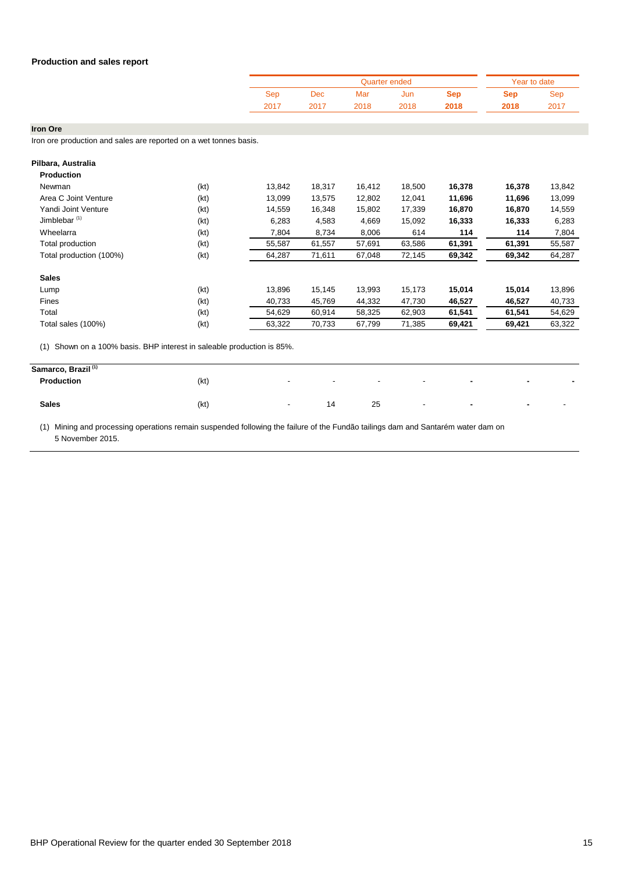|      |                           |      | Quarter ended |      |      | Year to date |
|------|---------------------------|------|---------------|------|------|--------------|
| Sep  | $\overline{\mathrm{Dec}}$ | Mar  | Jun           | Sep  | Sep  | Ser          |
| 2017 | 2017                      | 2018 | 2018          | 2018 | 2018 | 2017         |

**Iron Ore**

Iron ore production and sales are reported on a wet tonnes basis.

| Pilbara, Australia                                                        |      |        |        |        |        |        |        |        |
|---------------------------------------------------------------------------|------|--------|--------|--------|--------|--------|--------|--------|
| <b>Production</b>                                                         |      |        |        |        |        |        |        |        |
| Newman                                                                    | (kt) | 13,842 | 18,317 | 16,412 | 18,500 | 16,378 | 16,378 | 13,842 |
| Area C Joint Venture                                                      | (kt) | 13,099 | 13,575 | 12,802 | 12,041 | 11,696 | 11,696 | 13,099 |
| Yandi Joint Venture                                                       | (kt) | 14,559 | 16,348 | 15,802 | 17,339 | 16,870 | 16,870 | 14,559 |
| Jimblebar <sup>(1)</sup>                                                  | (kt) | 6,283  | 4,583  | 4,669  | 15,092 | 16,333 | 16,333 | 6,283  |
| Wheelarra                                                                 | (kt) | 7,804  | 8,734  | 8,006  | 614    | 114    | 114    | 7,804  |
| Total production                                                          | (kt) | 55,587 | 61,557 | 57,691 | 63,586 | 61,391 | 61,391 | 55,587 |
| Total production (100%)                                                   | (kt) | 64,287 | 71,611 | 67,048 | 72,145 | 69,342 | 69,342 | 64,287 |
| <b>Sales</b>                                                              |      |        |        |        |        |        |        |        |
| Lump                                                                      | (kt) | 13,896 | 15,145 | 13,993 | 15,173 | 15,014 | 15,014 | 13,896 |
| Fines                                                                     | (kt) | 40,733 | 45,769 | 44,332 | 47,730 | 46,527 | 46,527 | 40,733 |
| Total                                                                     | (kt) | 54,629 | 60,914 | 58,325 | 62,903 | 61,541 | 61,541 | 54,629 |
| Total sales (100%)                                                        | (kt) | 63,322 | 70,733 | 67,799 | 71,385 | 69,421 | 69,421 | 63,322 |
| Shown on a 100% basis. BHP interest in saleable production is 85%.<br>(1) |      |        |        |        |        |        |        |        |
| Samarco, Brazil <sup>(1)</sup>                                            |      |        |        |        |        |        |        |        |
| <b>Production</b>                                                         | (kt) |        |        |        |        |        |        |        |

**Sales** (kt) - 14 25 - **- -** -

(1) Mining and processing operations remain suspended following the failure of the Fundão tailings dam and Santarém water dam on 5 November 2015.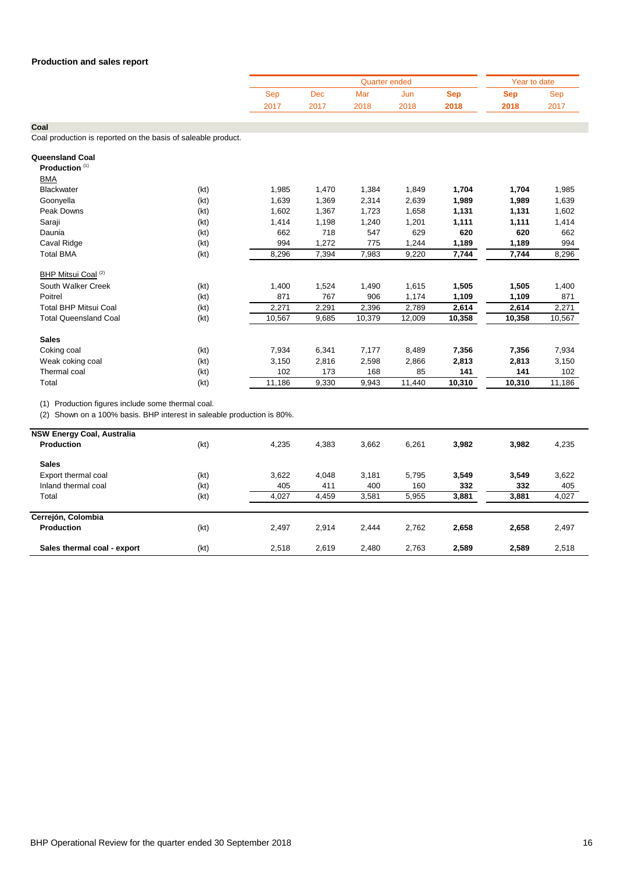|      |      |      | Year to date |      |            |      |
|------|------|------|--------------|------|------------|------|
| Sep  | Dec  | Mar  | Jun          | Sep  | <b>Sep</b> | Sep  |
| 2017 | 2017 | 2018 | 2018         | 2018 | 2018       | 2017 |

**Coal**

Coal production is reported on the basis of saleable product.

| Queensland Coal<br>Production <sup>(1)</sup> |      |        |       |        |        |        |        |        |
|----------------------------------------------|------|--------|-------|--------|--------|--------|--------|--------|
| <b>BMA</b>                                   |      |        |       |        |        |        |        |        |
| Blackwater                                   | (kt) | 1,985  | 1,470 | 1,384  | 1,849  | 1,704  | 1,704  | 1,985  |
| Goonyella                                    | (kt) | 1,639  | 1,369 | 2,314  | 2,639  | 1,989  | 1,989  | 1,639  |
| Peak Downs                                   | (kt) | 1,602  | 1,367 | 1,723  | 1,658  | 1,131  | 1,131  | 1,602  |
| Saraji                                       | (kt) | 1,414  | 1,198 | 1,240  | 1,201  | 1,111  | 1,111  | 1,414  |
| Daunia                                       | (kt) | 662    | 718   | 547    | 629    | 620    | 620    | 662    |
| Caval Ridge                                  | (kt) | 994    | 1,272 | 775    | 1,244  | 1,189  | 1,189  | 994    |
| <b>Total BMA</b>                             | (kt) | 8,296  | 7,394 | 7,983  | 9,220  | 7,744  | 7,744  | 8,296  |
| BHP Mitsui Coal <sup>(2)</sup>               |      |        |       |        |        |        |        |        |
| South Walker Creek                           | (kt) | 1,400  | 1,524 | 1,490  | 1,615  | 1,505  | 1,505  | 1,400  |
| Poitrel                                      | (kt) | 871    | 767   | 906    | 1,174  | 1,109  | 1,109  | 871    |
| <b>Total BHP Mitsui Coal</b>                 | (kt) | 2,271  | 2,291 | 2,396  | 2,789  | 2,614  | 2,614  | 2,271  |
| <b>Total Queensland Coal</b>                 | (kt) | 10,567 | 9,685 | 10,379 | 12,009 | 10,358 | 10,358 | 10,567 |
| <b>Sales</b>                                 |      |        |       |        |        |        |        |        |
| Coking coal                                  | (kt) | 7,934  | 6,341 | 7,177  | 8,489  | 7,356  | 7,356  | 7,934  |
| Weak coking coal                             | (kt) | 3,150  | 2,816 | 2,598  | 2,866  | 2,813  | 2,813  | 3,150  |
| Thermal coal                                 | (kt) | 102    | 173   | 168    | 85     | 141    | 141    | 102    |
| Total                                        | (kt) | 11,186 | 9,330 | 9,943  | 11,440 | 10,310 | 10,310 | 11,186 |

(1) Production figures include some thermal coal.

(2) Shown on a 100% basis. BHP interest in saleable production is 80%.

| <b>NSW Energy Coal, Australia</b><br>Production | (kt) | 4,235 | 4,383 | 3.662 | 6,261 | 3,982 | 3,982 | 4,235 |
|-------------------------------------------------|------|-------|-------|-------|-------|-------|-------|-------|
|                                                 |      |       |       |       |       |       |       |       |
| <b>Sales</b>                                    |      |       |       |       |       |       |       |       |
| Export thermal coal                             | (kt) | 3,622 | 4,048 | 3,181 | 5,795 | 3,549 | 3,549 | 3,622 |
| Inland thermal coal                             | (kt) | 405   | 411   | 400   | 160   | 332   | 332   | 405   |
| Total                                           | (kt) | 4,027 | 4,459 | 3,581 | 5,955 | 3,881 | 3,881 | 4,027 |
| Cerrejón, Colombia                              |      |       |       |       |       |       |       |       |
| <b>Production</b>                               | (kt) | 2.497 | 2.914 | 2.444 | 2.762 | 2,658 | 2,658 | 2,497 |
| Sales thermal coal - export                     | (kt) | 2,518 | 2,619 | 2,480 | 2,763 | 2,589 | 2,589 | 2,518 |